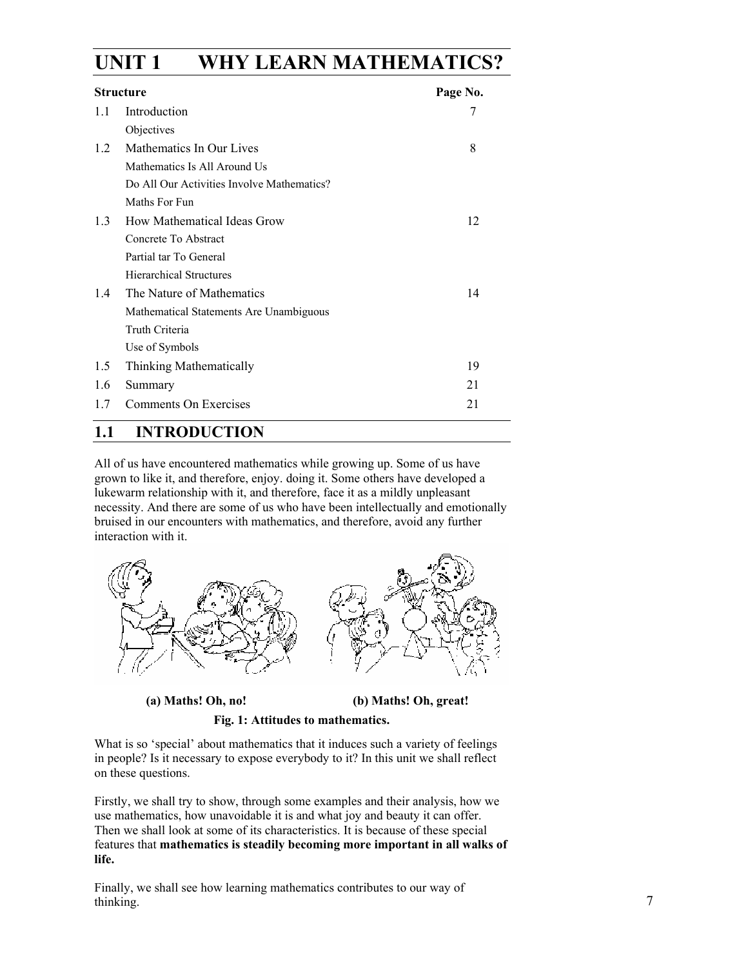# **UNIT 1 WHY LEARN MATHEMATICS?**

| <b>Structure</b> |                                            | Page No. |
|------------------|--------------------------------------------|----------|
| 1.1              | Introduction                               | 7        |
|                  | Objectives                                 |          |
| 12               | Mathematics In Our Lives                   | 8        |
|                  | Mathematics Is All Around Us               |          |
|                  | Do All Our Activities Involve Mathematics? |          |
|                  | Maths For Fun                              |          |
| 1.3              | How Mathematical Ideas Grow                | 12       |
|                  | Concrete To Abstract                       |          |
|                  | Partial tar To General                     |          |
|                  | <b>Hierarchical Structures</b>             |          |
| 1.4              | The Nature of Mathematics                  | 14       |
|                  | Mathematical Statements Are Unambiguous    |          |
|                  | Truth Criteria                             |          |
|                  | Use of Symbols                             |          |
| 1.5              | Thinking Mathematically                    | 19       |
| 1.6              | Summary                                    | 21       |
| 17               | Comments On Exercises                      | 21       |

# **1.1 INTRODUCTION**

All of us have encountered mathematics while growing up. Some of us have grown to like it, and therefore, enjoy. doing it. Some others have developed a lukewarm relationship with it, and therefore, face it as a mildly unpleasant necessity. And there are some of us who have been intellectually and emotionally bruised in our encounters with mathematics, and therefore, avoid any further interaction with it.



 **(a) Maths! Oh, no! (b) Maths! Oh, great!** 

**Fig. 1: Attitudes to mathematics.** 

What is so 'special' about mathematics that it induces such a variety of feelings in people? Is it necessary to expose everybody to it? In this unit we shall reflect on these questions.

Firstly, we shall try to show, through some examples and their analysis, how we use mathematics, how unavoidable it is and what joy and beauty it can offer. Then we shall look at some of its characteristics. It is because of these special features that **mathematics is steadily becoming more important in all walks of life.** 

Finally, we shall see how learning mathematics contributes to our way of thinking.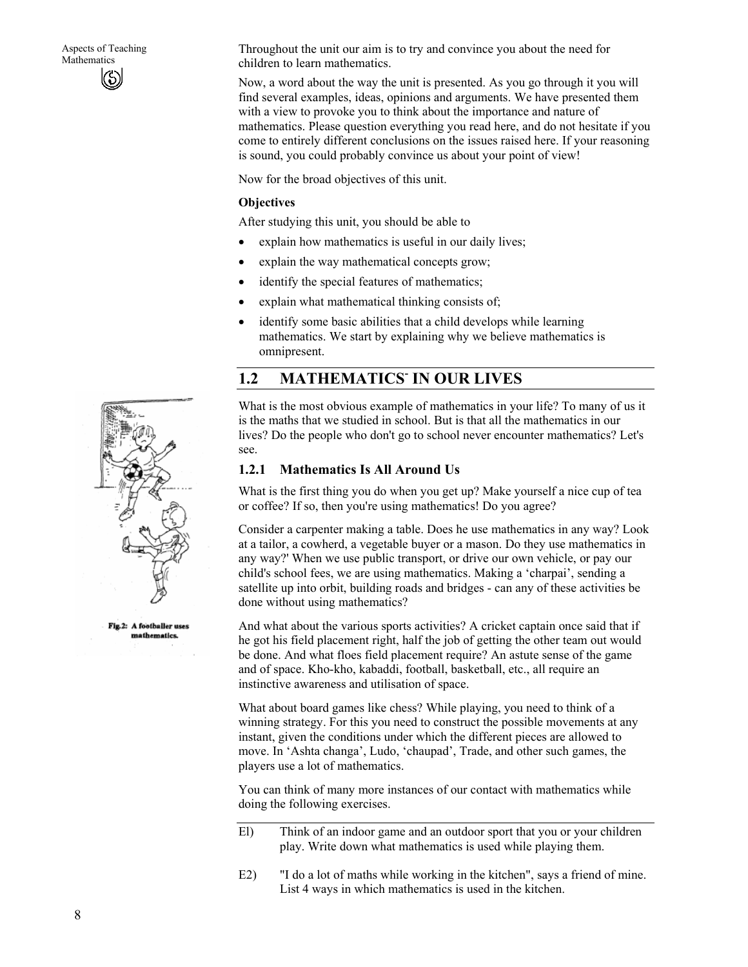Throughout the unit our aim is to try and convince you about the need for children to learn mathematics.

Now, a word about the way the unit is presented. As you go through it you will find several examples, ideas, opinions and arguments. We have presented them with a view to provoke you to think about the importance and nature of mathematics. Please question everything you read here, and do not hesitate if you come to entirely different conclusions on the issues raised here. If your reasoning is sound, you could probably convince us about your point of view!

Now for the broad objectives of this unit.

#### **Objectives**

After studying this unit, you should be able to

- explain how mathematics is useful in our daily lives;
- explain the way mathematical concepts grow;
- identify the special features of mathematics;
- explain what mathematical thinking consists of;
- identify some basic abilities that a child develops while learning mathematics. We start by explaining why we believe mathematics is omnipresent.

# 1.2 MATHEMATICS IN OUR LIVES

What is the most obvious example of mathematics in your life? To many of us it is the maths that we studied in school. But is that all the mathematics in our lives? Do the people who don't go to school never encounter mathematics? Let's see.

#### **1.2.1 Mathematics Is All Around Us**

What is the first thing you do when you get up? Make yourself a nice cup of tea or coffee? If so, then you're using mathematics! Do you agree?

Consider a carpenter making a table. Does he use mathematics in any way? Look at a tailor, a cowherd, a vegetable buyer or a mason. Do they use mathematics in any way?' When we use public transport, or drive our own vehicle, or pay our child's school fees, we are using mathematics. Making a 'charpai', sending a satellite up into orbit, building roads and bridges - can any of these activities be done without using mathematics?

And what about the various sports activities? A cricket captain once said that if he got his field placement right, half the job of getting the other team out would be done. And what floes field placement require? An astute sense of the game and of space. Kho-kho, kabaddi, football, basketball, etc., all require an instinctive awareness and utilisation of space.

What about board games like chess? While playing, you need to think of a winning strategy. For this you need to construct the possible movements at any instant, given the conditions under which the different pieces are allowed to move. In 'Ashta changa', Ludo, 'chaupad', Trade, and other such games, the players use a lot of mathematics.

You can think of many more instances of our contact with mathematics while doing the following exercises.

- El) Think of an indoor game and an outdoor sport that you or your children play. Write down what mathematics is used while playing them.
- E2) "I do a lot of maths while working in the kitchen", says a friend of mine. List 4 ways in which mathematics is used in the kitchen.



Fig.2: A footballer uses mathematics.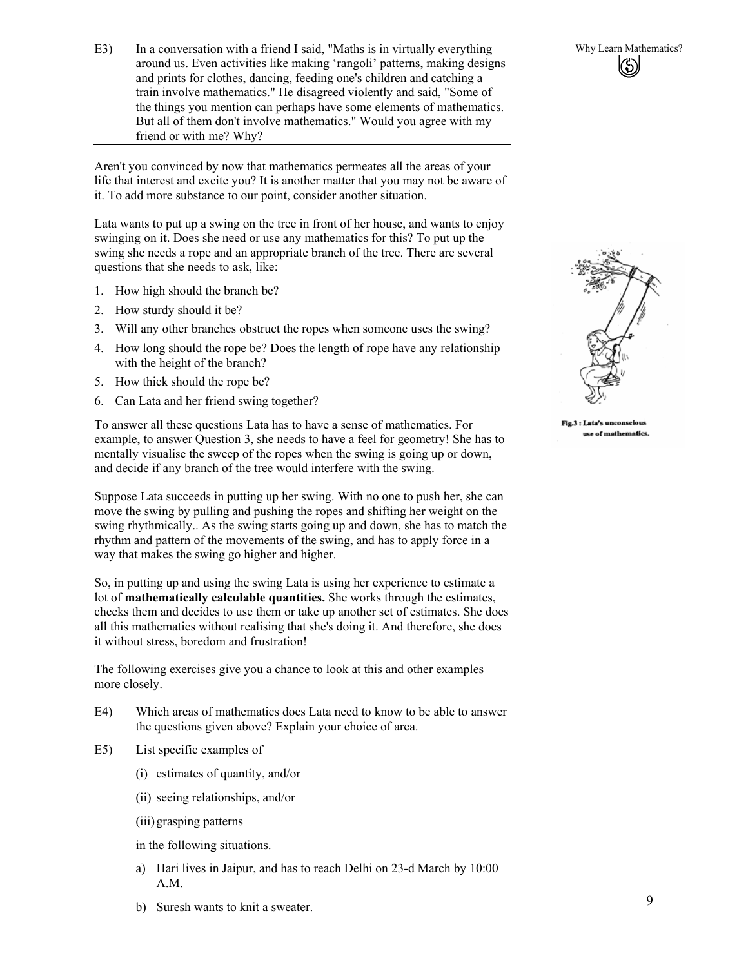E3) In a conversation with a friend I said, "Maths is in virtually everything Why Learn Mathematics? around us. Even activities like making 'rangoli' patterns, making designs and prints for clothes, dancing, feeding one's children and catching a train involve mathematics." He disagreed violently and said, "Some of the things you mention can perhaps have some elements of mathematics. But all of them don't involve mathematics." Would you agree with my friend or with me? Why?

Aren't you convinced by now that mathematics permeates all the areas of your life that interest and excite you? It is another matter that you may not be aware of it. To add more substance to our point, consider another situation.

Lata wants to put up a swing on the tree in front of her house, and wants to enjoy swinging on it. Does she need or use any mathematics for this? To put up the swing she needs a rope and an appropriate branch of the tree. There are several questions that she needs to ask, like:

- 1. How high should the branch be?
- 2. How sturdy should it be?
- 3. Will any other branches obstruct the ropes when someone uses the swing?
- 4. How long should the rope be? Does the length of rope have any relationship with the height of the branch?
- 5. How thick should the rope be?
- 6. Can Lata and her friend swing together?

To answer all these questions Lata has to have a sense of mathematics. For example, to answer Question 3, she needs to have a feel for geometry! She has to mentally visualise the sweep of the ropes when the swing is going up or down, and decide if any branch of the tree would interfere with the swing.

Suppose Lata succeeds in putting up her swing. With no one to push her, she can move the swing by pulling and pushing the ropes and shifting her weight on the swing rhythmically.. As the swing starts going up and down, she has to match the rhythm and pattern of the movements of the swing, and has to apply force in a way that makes the swing go higher and higher.

So, in putting up and using the swing Lata is using her experience to estimate a lot of **mathematically calculable quantities.** She works through the estimates, checks them and decides to use them or take up another set of estimates. She does all this mathematics without realising that she's doing it. And therefore, she does it without stress, boredom and frustration!

The following exercises give you a chance to look at this and other examples more closely.

- E4) Which areas of mathematics does Lata need to know to be able to answer the questions given above? Explain your choice of area.
- E5) List specific examples of
	- (i) estimates of quantity, and/or
	- (ii) seeing relationships, and/or
	- (iii) grasping patterns

in the following situations.

- a) Hari lives in Jaipur, and has to reach Delhi on 23-d March by 10:00 A.M.
- b) Suresh wants to knit a sweater.



Fig.3 : Lata's unconscious use of mathematics.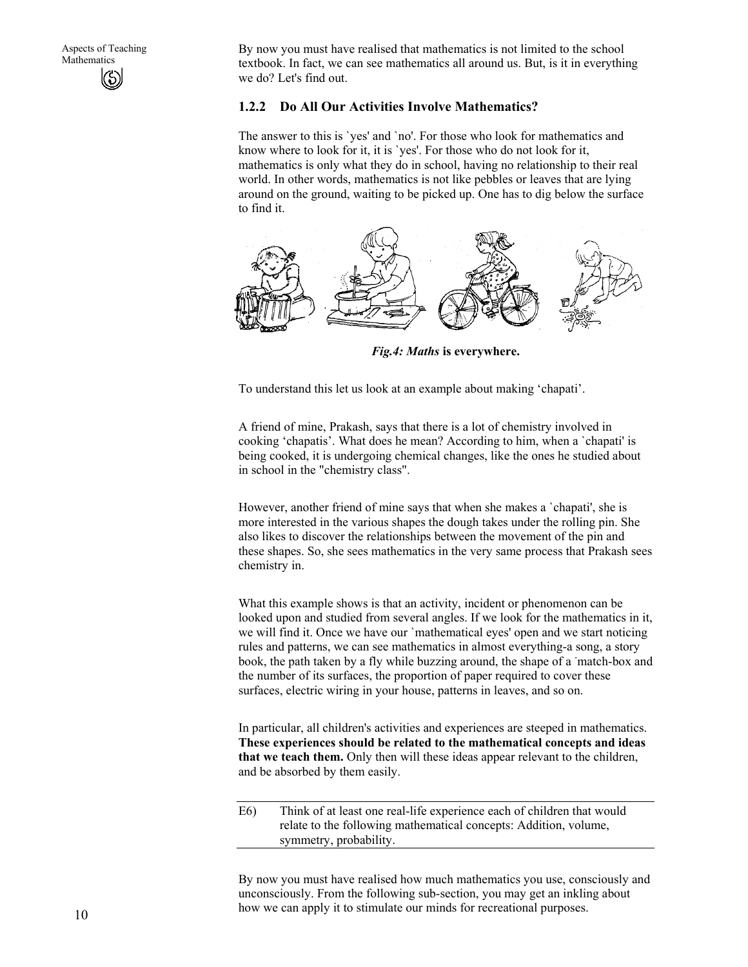By now you must have realised that mathematics is not limited to the school textbook. In fact, we can see mathematics all around us. But, is it in everything we do? Let's find out.

#### **1.2.2 Do All Our Activities Involve Mathematics?**

The answer to this is `yes' and `no'. For those who look for mathematics and know where to look for it, it is `yes'. For those who do not look for it, mathematics is only what they do in school, having no relationship to their real world. In other words, mathematics is not like pebbles or leaves that are lying around on the ground, waiting to be picked up. One has to dig below the surface to find it.



*Fig.4: Maths* **is everywhere.** 

To understand this let us look at an example about making 'chapati'.

A friend of mine, Prakash, says that there is a lot of chemistry involved in cooking 'chapatis'. What does he mean? According to him, when a `chapati' is being cooked, it is undergoing chemical changes, like the ones he studied about in school in the "chemistry class".

However, another friend of mine says that when she makes a `chapati', she is more interested in the various shapes the dough takes under the rolling pin. She also likes to discover the relationships between the movement of the pin and these shapes. So, she sees mathematics in the very same process that Prakash sees chemistry in.

What this example shows is that an activity, incident or phenomenon can be looked upon and studied from several angles. If we look for the mathematics in it, we will find it. Once we have our `mathematical eyes' open and we start noticing rules and patterns, we can see mathematics in almost everything-a song, a story book, the path taken by a fly while buzzing around, the shape of a match-box and the number of its surfaces, the proportion of paper required to cover these surfaces, electric wiring in your house, patterns in leaves, and so on.

In particular, all children's activities and experiences are steeped in mathematics. **These experiences should be related to the mathematical concepts and ideas that we teach them.** Only then will these ideas appear relevant to the children, and be absorbed by them easily.

E6) Think of at least one real-life experience each of children that would relate to the following mathematical concepts: Addition, volume, symmetry, probability.

By now you must have realised how much mathematics you use, consciously and unconsciously. From the following sub-section, you may get an inkling about how we can apply it to stimulate our minds for recreational purposes.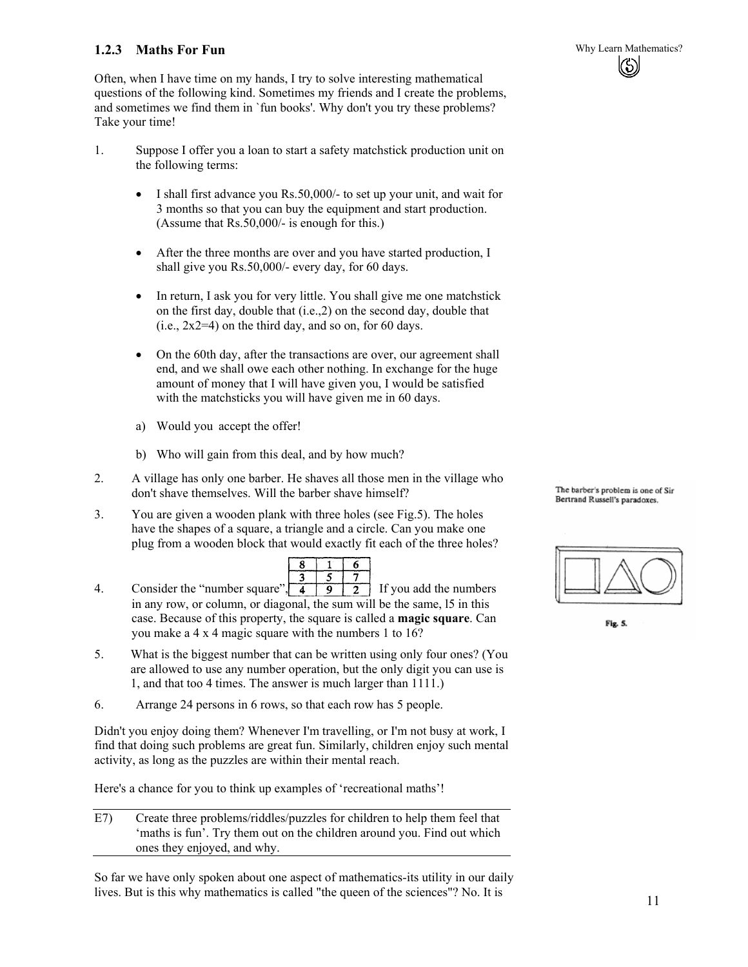### **1.2.3 Maths For Fun Why Learn Mathematics?**

Often, when I have time on my hands, I try to solve interesting mathematical questions of the following kind. Sometimes my friends and I create the problems, and sometimes we find them in `fun books'. Why don't you try these problems? Take your time!

- 1. Suppose I offer you a loan to start a safety matchstick production unit on the following terms:
	- I shall first advance you Rs.50,000/- to set up your unit, and wait for 3 months so that you can buy the equipment and start production. (Assume that Rs.50,000/- is enough for this.)
	- After the three months are over and you have started production, I shall give you Rs.50,000/- every day, for 60 days.
	- In return, I ask you for very little. You shall give me one matchstick on the first day, double that (i.e.,2) on the second day, double that  $(i.e., 2x2=4)$  on the third day, and so on, for 60 days.
	- On the 60th day, after the transactions are over, our agreement shall end, and we shall owe each other nothing. In exchange for the huge amount of money that I will have given you, I would be satisfied with the matchsticks you will have given me in 60 days.
	- a) Would you accept the offer!
	- b) Who will gain from this deal, and by how much?
- 2. A village has only one barber. He shaves all those men in the village who don't shave themselves. Will the barber shave himself?
- 3. You are given a wooden plank with three holes (see Fig.5). The holes have the shapes of a square, a triangle and a circle. Can you make one plug from a wooden block that would exactly fit each of the three holes?

| œ |  |
|---|--|
|   |  |
|   |  |

- 4. Consider the "number square",  $\begin{array}{|c|c|c|c|c|c|} \hline 4 & 9 & 2 & \text{If you add the numbers} \end{array}$ in any row, or column, or diagonal, the sum will be the same, l5 in this case. Because of this property, the square is called a **magic square**. Can you make a 4 x 4 magic square with the numbers 1 to 16?
- 5. What is the biggest number that can be written using only four ones? (You are allowed to use any number operation, but the only digit you can use is 1, and that too 4 times. The answer is much larger than 1111.)
- 6. Arrange 24 persons in 6 rows, so that each row has 5 people.

Didn't you enjoy doing them? Whenever I'm travelling, or I'm not busy at work, I find that doing such problems are great fun. Similarly, children enjoy such mental activity, as long as the puzzles are within their mental reach.

Here's a chance for you to think up examples of 'recreational maths'!

E7) Create three problems/riddles/puzzles for children to help them feel that 'maths is fun'. Try them out on the children around you. Find out which ones they enjoyed, and why.

So far we have only spoken about one aspect of mathematics-its utility in our daily lives. But is this why mathematics is called "the queen of the sciences"? No. It is



The barber's problem is one of Sir Bertrand Russell's paradoxes.

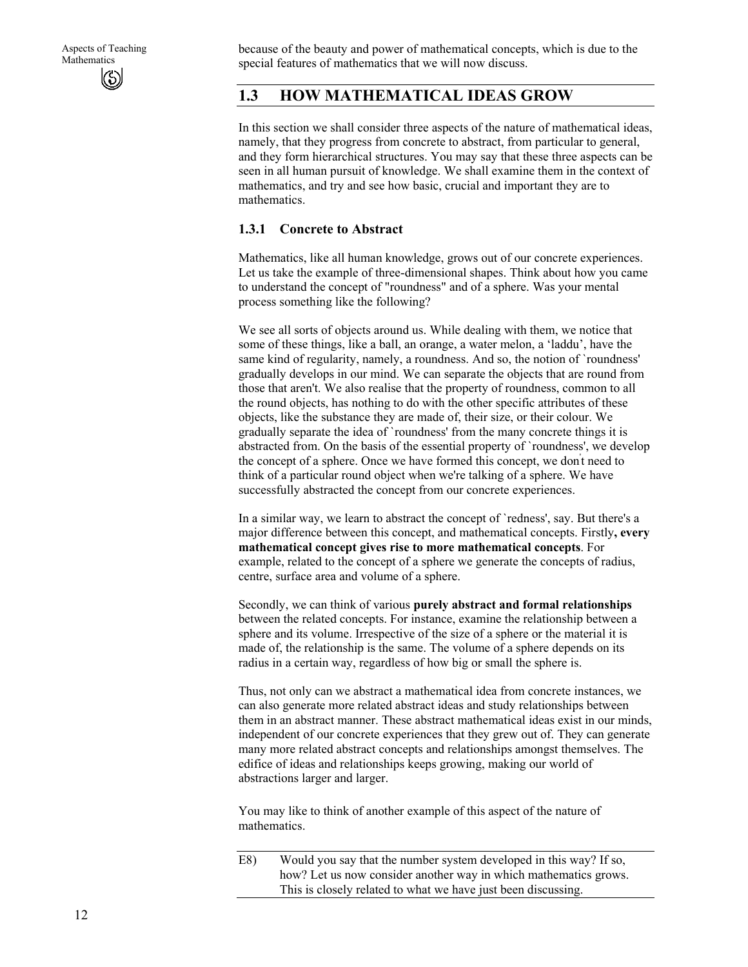because of the beauty and power of mathematical concepts, which is due to the special features of mathematics that we will now discuss.

# **1.3 HOW MATHEMATICAL IDEAS GROW**

In this section we shall consider three aspects of the nature of mathematical ideas, namely, that they progress from concrete to abstract, from particular to general, and they form hierarchical structures. You may say that these three aspects can be seen in all human pursuit of knowledge. We shall examine them in the context of mathematics, and try and see how basic, crucial and important they are to mathematics.

#### **1.3.1 Concrete to Abstract**

Mathematics, like all human knowledge, grows out of our concrete experiences. Let us take the example of three-dimensional shapes. Think about how you came to understand the concept of "roundness" and of a sphere. Was your mental process something like the following?

We see all sorts of objects around us. While dealing with them, we notice that some of these things, like a ball, an orange, a water melon, a 'laddu', have the same kind of regularity, namely, a roundness. And so, the notion of `roundness' gradually develops in our mind. We can separate the objects that are round from those that aren't. We also realise that the property of roundness, common to all the round objects, has nothing to do with the other specific attributes of these objects, like the substance they are made of, their size, or their colour. We gradually separate the idea of `roundness' from the many concrete things it is abstracted from. On the basis of the essential property of `roundness', we develop the concept of a sphere. Once we have formed this concept, we don't need to think of a particular round object when we're talking of a sphere. We have successfully abstracted the concept from our concrete experiences.

In a similar way, we learn to abstract the concept of `redness', say. But there's a major difference between this concept, and mathematical concepts. Firstly**, every mathematical concept gives rise to more mathematical concepts**. For example, related to the concept of a sphere we generate the concepts of radius, centre, surface area and volume of a sphere.

Secondly, we can think of various **purely abstract and formal relationships**  between the related concepts. For instance, examine the relationship between a sphere and its volume. Irrespective of the size of a sphere or the material it is made of, the relationship is the same. The volume of a sphere depends on its radius in a certain way, regardless of how big or small the sphere is.

Thus, not only can we abstract a mathematical idea from concrete instances, we can also generate more related abstract ideas and study relationships between them in an abstract manner. These abstract mathematical ideas exist in our minds, independent of our concrete experiences that they grew out of. They can generate many more related abstract concepts and relationships amongst themselves. The edifice of ideas and relationships keeps growing, making our world of abstractions larger and larger.

You may like to think of another example of this aspect of the nature of mathematics.

E8) Would you say that the number system developed in this way? If so, how? Let us now consider another way in which mathematics grows. This is closely related to what we have just been discussing.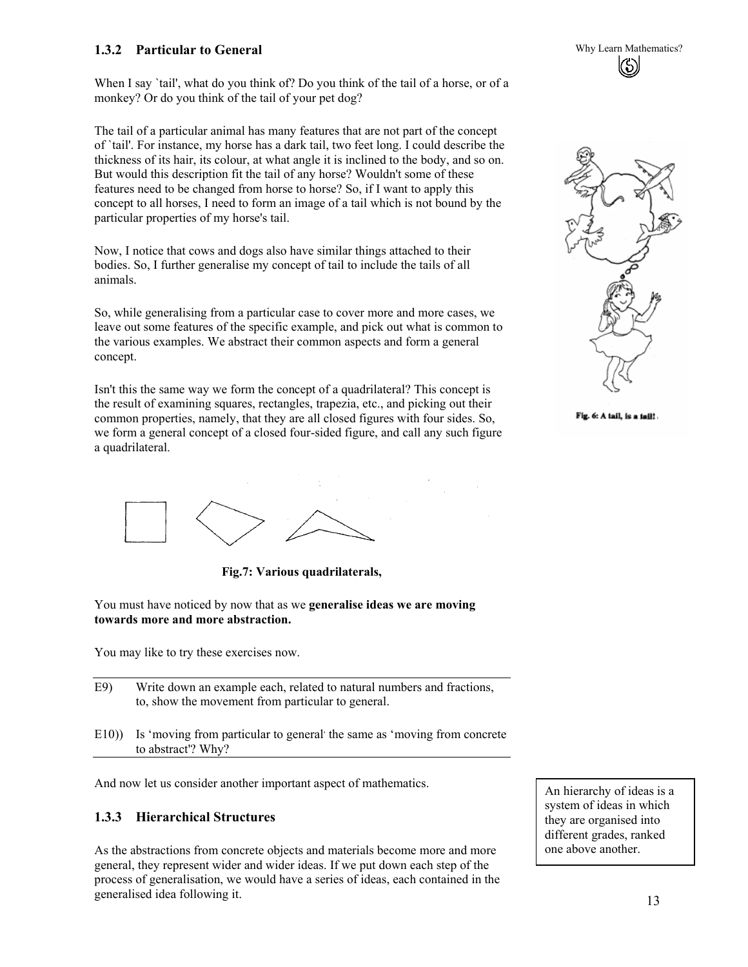#### **1.3.2 Particular to General**  Second 1.3.2 Particular to General **Why Learn Mathematics?**

When I say 'tail', what do you think of? Do you think of the tail of a horse, or of a monkey? Or do you think of the tail of your pet dog?

The tail of a particular animal has many features that are not part of the concept of `tail'. For instance, my horse has a dark tail, two feet long. I could describe the thickness of its hair, its colour, at what angle it is inclined to the body, and so on. But would this description fit the tail of any horse? Wouldn't some of these features need to be changed from horse to horse? So, if I want to apply this concept to all horses, I need to form an image of a tail which is not bound by the particular properties of my horse's tail.

Now, I notice that cows and dogs also have similar things attached to their bodies. So, I further generalise my concept of tail to include the tails of all animals.

So, while generalising from a particular case to cover more and more cases, we leave out some features of the specific example, and pick out what is common to the various examples. We abstract their common aspects and form a general concept.

Isn't this the same way we form the concept of a quadrilateral? This concept is the result of examining squares, rectangles, trapezia, etc., and picking out their common properties, namely, that they are all closed figures with four sides. So, we form a general concept of a closed four-sided figure, and call any such figure a quadrilateral.



Fig. 6: A tail, is a tail!



**Fig.7: Various quadrilaterals,** 

You must have noticed by now that as we **generalise ideas we are moving towards more and more abstraction.** 

You may like to try these exercises now.

- E9) Write down an example each, related to natural numbers and fractions, to, show the movement from particular to general.
- E10)) Is 'moving from particular to general' the same as 'moving from concrete to abstract'? Why?

And now let us consider another important aspect of mathematics.

#### **1.3.3 Hierarchical Structures**

As the abstractions from concrete objects and materials become more and more general, they represent wider and wider ideas. If we put down each step of the process of generalisation, we would have a series of ideas, each contained in the generalised idea following it.

An hierarchy of ideas is a system of ideas in which they are organised into different grades, ranked one above another.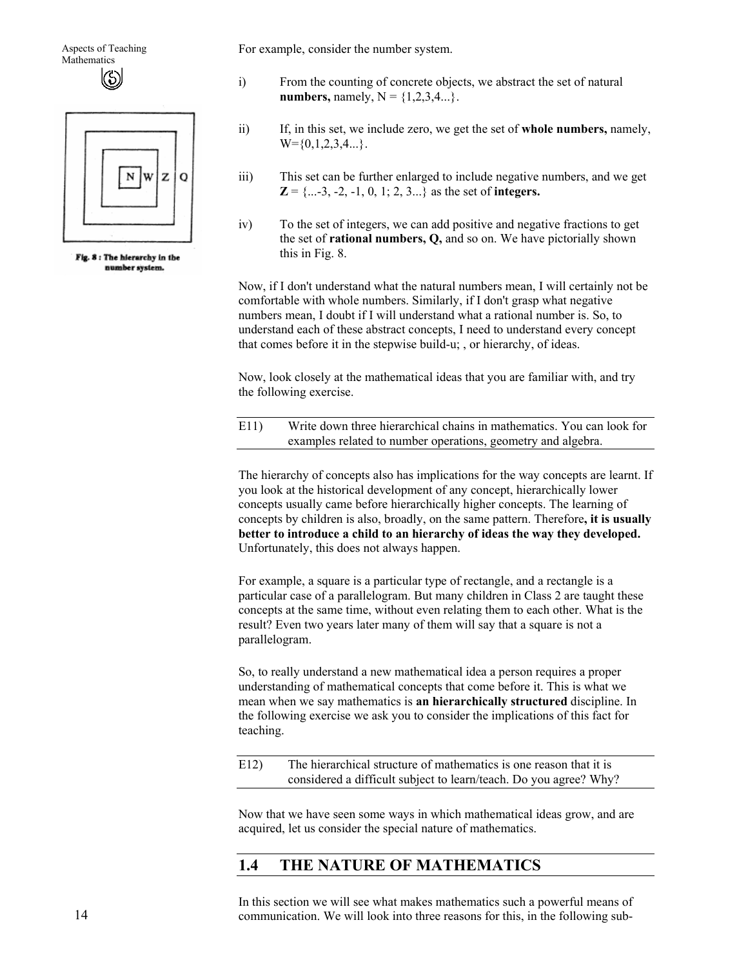Aspects of Teaching **Mathematics** (5)



Fig. 8 : The hierarchy in the number system.

For example, consider the number system.

- i) From the counting of concrete objects, we abstract the set of natural **numbers,** namely,  $N = \{1, 2, 3, 4...\}$ .
- ii) If, in this set, we include zero, we get the set of **whole numbers,** namely,  $W = \{0, 1, 2, 3, 4, ...\}$ .
- iii) This set can be further enlarged to include negative numbers, and we get  $\mathbf{Z} = \{...3, -2, -1, 0, 1, 2, 3...\}$  as the set of **integers.**
- iv) To the set of integers, we can add positive and negative fractions to get the set of **rational numbers, Q,** and so on. We have pictorially shown this in Fig. 8.

Now, if I don't understand what the natural numbers mean, I will certainly not be comfortable with whole numbers. Similarly, if I don't grasp what negative numbers mean, I doubt if I will understand what a rational number is. So, to understand each of these abstract concepts, I need to understand every concept that comes before it in the stepwise build-u; , or hierarchy, of ideas.

Now, look closely at the mathematical ideas that you are familiar with, and try the following exercise.

| E11)<br>Write down three hierarchical chains in mathematics. You can look for |                                                              |
|-------------------------------------------------------------------------------|--------------------------------------------------------------|
|                                                                               | examples related to number operations, geometry and algebra. |

The hierarchy of concepts also has implications for the way concepts are learnt. If you look at the historical development of any concept, hierarchically lower concepts usually came before hierarchically higher concepts. The learning of concepts by children is also, broadly, on the same pattern. Therefore**, it is usually better to introduce a child to an hierarchy of ideas the way they developed.**  Unfortunately, this does not always happen.

For example, a square is a particular type of rectangle, and a rectangle is a particular case of a parallelogram. But many children in Class 2 are taught these concepts at the same time, without even relating them to each other. What is the result? Even two years later many of them will say that a square is not a parallelogram.

So, to really understand a new mathematical idea a person requires a proper understanding of mathematical concepts that come before it. This is what we mean when we say mathematics is **an hierarchically structured** discipline. In the following exercise we ask you to consider the implications of this fact for teaching.

E12) The hierarchical structure of mathematics is one reason that it is considered a difficult subject to learn/teach. Do you agree? Why?

Now that we have seen some ways in which mathematical ideas grow, and are acquired, let us consider the special nature of mathematics.

# **1.4 THE NATURE OF MATHEMATICS**

In this section we will see what makes mathematics such a powerful means of communication. We will look into three reasons for this, in the following sub-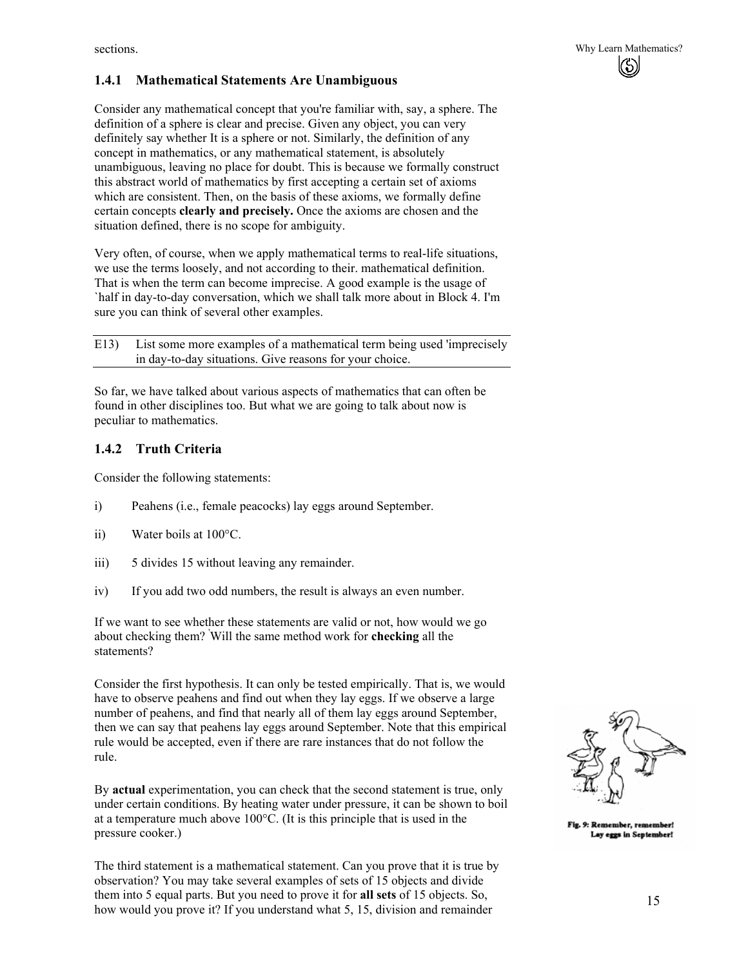#### **1.4.1 Mathematical Statements Are Unambiguous**

Consider any mathematical concept that you're familiar with, say, a sphere. The definition of a sphere is clear and precise. Given any object, you can very definitely say whether It is a sphere or not. Similarly, the definition of any concept in mathematics, or any mathematical statement, is absolutely unambiguous, leaving no place for doubt. This is because we formally construct this abstract world of mathematics by first accepting a certain set of axioms which are consistent. Then, on the basis of these axioms, we formally define certain concepts **clearly and precisely.** Once the axioms are chosen and the situation defined, there is no scope for ambiguity.

Very often, of course, when we apply mathematical terms to real-life situations, we use the terms loosely, and not according to their. mathematical definition. That is when the term can become imprecise. A good example is the usage of `half in day-to-day conversation, which we shall talk more about in Block 4. I'm sure you can think of several other examples.

E13) List some more examples of a mathematical term being used 'imprecisely in day-to-day situations. Give reasons for your choice.

So far, we have talked about various aspects of mathematics that can often be found in other disciplines too. But what we are going to talk about now is peculiar to mathematics.

#### **1.4.2 Truth Criteria**

Consider the following statements:

- i) Peahens (i.e., female peacocks) lay eggs around September.
- ii) Water boils at 100°C.
- iii) 5 divides 15 without leaving any remainder.
- iv) If you add two odd numbers, the result is always an even number.

If we want to see whether these statements are valid or not, how would we go about checking them? ' Will the same method work for **checking** all the statements?

Consider the first hypothesis. It can only be tested empirically. That is, we would have to observe peahens and find out when they lay eggs. If we observe a large number of peahens, and find that nearly all of them lay eggs around September, then we can say that peahens lay eggs around September. Note that this empirical rule would be accepted, even if there are rare instances that do not follow the rule.

By **actual** experimentation, you can check that the second statement is true, only under certain conditions. By heating water under pressure, it can be shown to boil at a temperature much above 100°C. (It is this principle that is used in the pressure cooker.)

The third statement is a mathematical statement. Can you prove that it is true by observation? You may take several examples of sets of 15 objects and divide them into 5 equal parts. But you need to prove it for **all sets** of 15 objects. So, how would you prove it? If you understand what 5, 15, division and remainder



Fig. 9: Remember, remember! Lay eggs in September!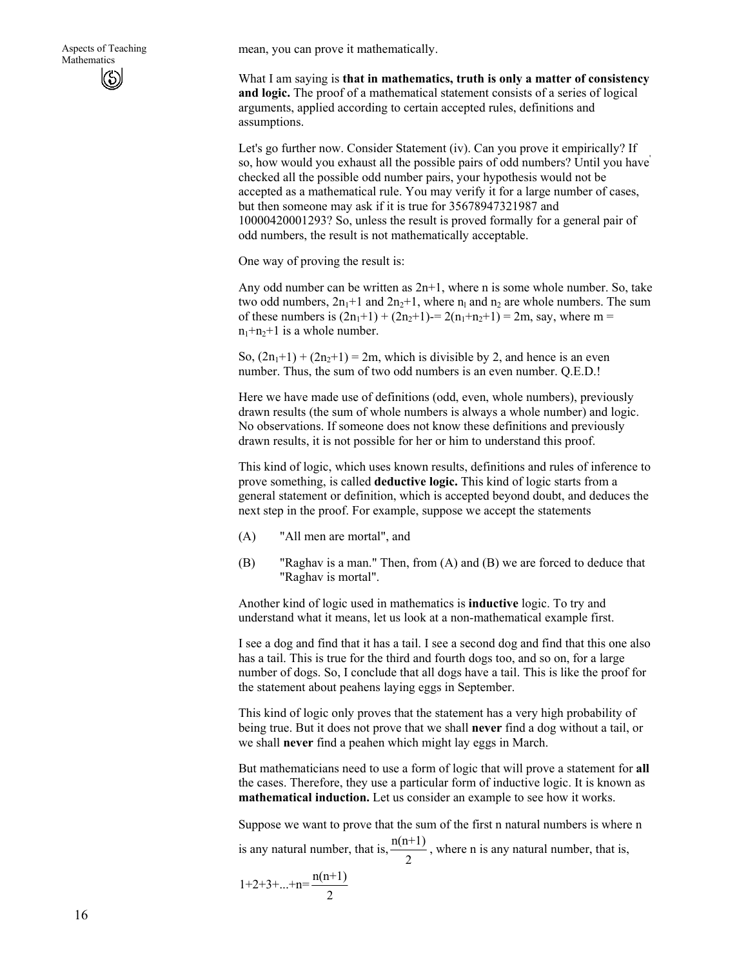mean, you can prove it mathematically.

What I am saying is **that in mathematics, truth is only a matter of consistency and logic.** The proof of a mathematical statement consists of a series of logical arguments, applied according to certain accepted rules, definitions and assumptions.

Let's go further now. Consider Statement (iv). Can you prove it empirically? If so, how would you exhaust all the possible pairs of odd numbers? Until you have' checked all the possible odd number pairs, your hypothesis would not be accepted as a mathematical rule. You may verify it for a large number of cases, but then someone may ask if it is true for 35678947321987 and 10000420001293? So, unless the result is proved formally for a general pair of odd numbers, the result is not mathematically acceptable.

One way of proving the result is:

Any odd number can be written as 2n+1, where n is some whole number. So, take two odd numbers,  $2n_1+1$  and  $2n_2+1$ , where  $n_1$  and  $n_2$  are whole numbers. The sum of these numbers is  $(2n_1+1) + (2n_2+1) = 2(n_1+n_2+1) = 2m$ , say, where m =  $n_1+n_2+1$  is a whole number.

So,  $(2n_1+1) + (2n_2+1) = 2m$ , which is divisible by 2, and hence is an even number. Thus, the sum of two odd numbers is an even number. Q.E.D.!

Here we have made use of definitions (odd, even, whole numbers), previously drawn results (the sum of whole numbers is always a whole number) and logic. No observations. If someone does not know these definitions and previously drawn results, it is not possible for her or him to understand this proof.

This kind of logic, which uses known results, definitions and rules of inference to prove something, is called **deductive logic.** This kind of logic starts from a general statement or definition, which is accepted beyond doubt, and deduces the next step in the proof. For example, suppose we accept the statements

- (A) "All men are mortal", and
- (B) "Raghav is a man." Then, from (A) and (B) we are forced to deduce that "Raghav is mortal".

Another kind of logic used in mathematics is **inductive** logic. To try and understand what it means, let us look at a non-mathematical example first.

I see a dog and find that it has a tail. I see a second dog and find that this one also has a tail. This is true for the third and fourth dogs too, and so on, for a large number of dogs. So, I conclude that all dogs have a tail. This is like the proof for the statement about peahens laying eggs in September.

This kind of logic only proves that the statement has a very high probability of being true. But it does not prove that we shall **never** find a dog without a tail, or we shall **never** find a peahen which might lay eggs in March.

But mathematicians need to use a form of logic that will prove a statement for **all**  the cases. Therefore, they use a particular form of inductive logic. It is known as **mathematical induction.** Let us consider an example to see how it works.

Suppose we want to prove that the sum of the first n natural numbers is where n is any natural number, that is,  $\frac{n(n+1)}{2}$ , where n is any natural number, that is,

$$
1+2+3+\ldots+n=\frac{n(n+1)}{2}
$$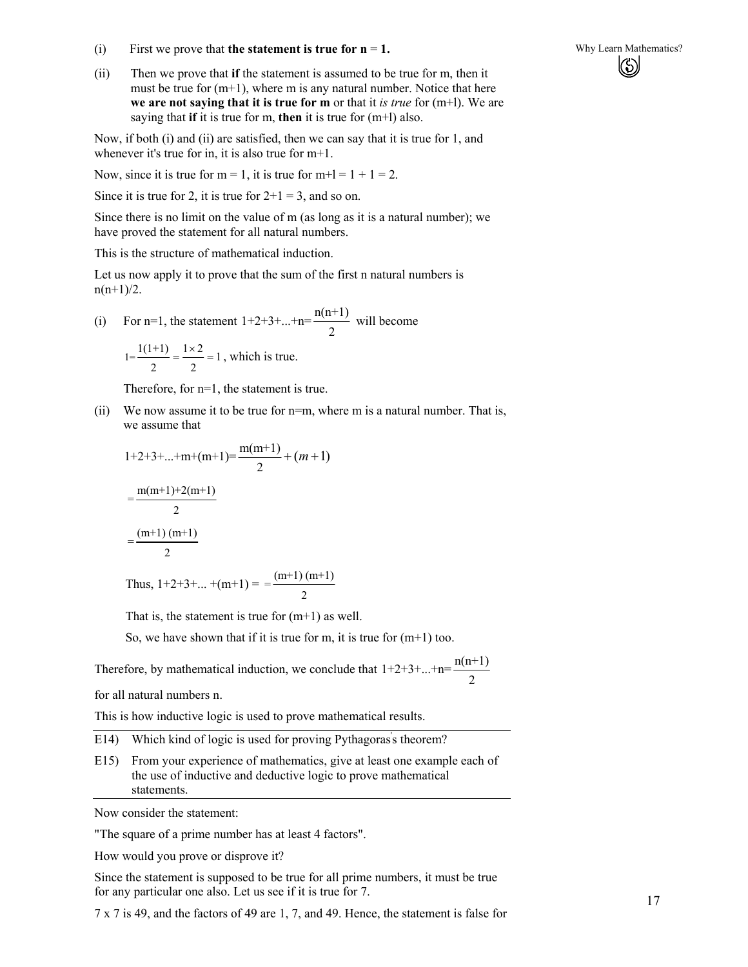- (i) First we prove that **the statement is true for n** = **1.** Why Learn Mathematics?
- (ii) Then we prove that **if** the statement is assumed to be true for m, then it must be true for  $(m+1)$ , where m is any natural number. Notice that here **we are not saying that it is true for m** or that it *is true* for (m+l). We are saying that **if** it is true for m, **then** it is true for (m+l) also.

Now, if both (i) and (ii) are satisfied, then we can say that it is true for 1, and whenever it's true for in, it is also true for m+1.

Now, since it is true for  $m = 1$ , it is true for  $m+1 = 1 + 1 = 2$ .

Since it is true for 2, it is true for  $2+1=3$ , and so on.

Since there is no limit on the value of m (as long as it is a natural number); we have proved the statement for all natural numbers.

This is the structure of mathematical induction.

Let us now apply it to prove that the sum of the first n natural numbers is  $n(n+1)/2$ .

(i) For n=1, the statement  $1+2+3+...+n=\frac{n(n+1)}{n+1}$ 2 will become

$$
1 = \frac{1(1+1)}{2} = \frac{1 \times 2}{2} = 1
$$
, which is true.

Therefore, for n=1, the statement is true.

(ii) We now assume it to be true for n=m, where m is a natural number. That is, we assume that

$$
1+2+3+...+m+(m+1)=\frac{m(m+1)}{2}+(m+1)
$$
  
=
$$
\frac{m(m+1)+2(m+1)}{2}
$$
  
=
$$
\frac{(m+1)(m+1)}{2}
$$

Thus,  $1+2+3+...+$   $(m+1) = \frac{(m+1)(m+1)}{2}$ 

That is, the statement is true for  $(m+1)$  as well.

So, we have shown that if it is true for m, it is true for  $(m+1)$  too.

Therefore, by mathematical induction, we conclude that  $1+2+3+...+n=\frac{n(n+1)}{n}$ 2

for all natural numbers n.

This is how inductive logic is used to prove mathematical results.

E14) Which kind of logic is used for proving Pythagoras's theorem?

E15) From your experience of mathematics, give at least one example each of the use of inductive and deductive logic to prove mathematical statements.

Now consider the statement:

"The square of a prime number has at least 4 factors".

How would you prove or disprove it?

Since the statement is supposed to be true for all prime numbers, it must be true for any particular one also. Let us see if it is true for 7.

7 x 7 is 49, and the factors of 49 are 1, 7, and 49. Hence, the statement is false for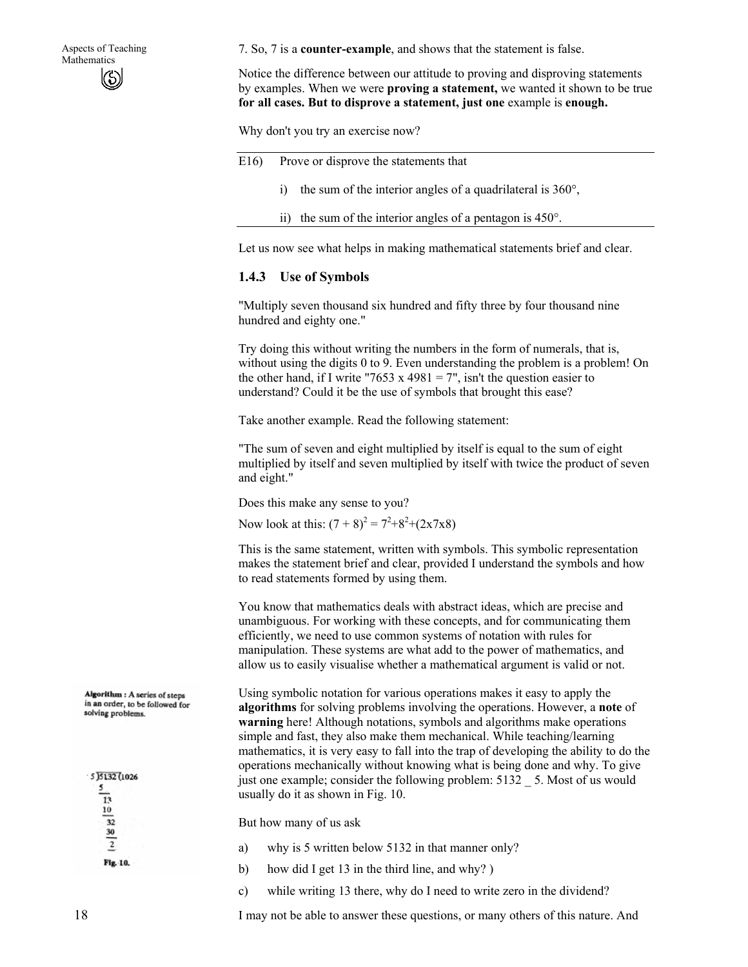Aspects of Teaching **Mathematics** (S)

7. So, 7 is a **counter-example**, and shows that the statement is false.

Notice the difference between our attitude to proving and disproving statements by examples. When we were **proving a statement,** we wanted it shown to be true **for all cases. But to disprove a statement, just one** example is **enough.** 

Why don't you try an exercise now?

| E16 |  |  | Prove or disprove the statements that |  |
|-----|--|--|---------------------------------------|--|
|-----|--|--|---------------------------------------|--|

- i) the sum of the interior angles of a quadrilateral is 360°,
- ii) the sum of the interior angles of a pentagon is 450°.

Let us now see what helps in making mathematical statements brief and clear.

#### **1.4.3 Use of Symbols**

"Multiply seven thousand six hundred and fifty three by four thousand nine hundred and eighty one."

Try doing this without writing the numbers in the form of numerals, that is, without using the digits 0 to 9. Even understanding the problem is a problem! On the other hand, if I write "7653 x 4981 = 7", isn't the question easier to understand? Could it be the use of symbols that brought this ease?

Take another example. Read the following statement:

"The sum of seven and eight multiplied by itself is equal to the sum of eight multiplied by itself and seven multiplied by itself with twice the product of seven and eight."

Does this make any sense to you?

Now look at this:  $(7 + 8)^2 = 7^2 + 8^2 + (2 \times 7 \times 8)$ 

This is the same statement, written with symbols. This symbolic representation makes the statement brief and clear, provided I understand the symbols and how to read statements formed by using them.

You know that mathematics deals with abstract ideas, which are precise and unambiguous. For working with these concepts, and for communicating them efficiently, we need to use common systems of notation with rules for manipulation. These systems are what add to the power of mathematics, and allow us to easily visualise whether a mathematical argument is valid or not.

Using symbolic notation for various operations makes it easy to apply the **algorithms** for solving problems involving the operations. However, a **note** of **warning** here! Although notations, symbols and algorithms make operations simple and fast, they also make them mechanical. While teaching/learning mathematics, it is very easy to fall into the trap of developing the ability to do the operations mechanically without knowing what is being done and why. To give just one example; consider the following problem: 5132 \_ 5. Most of us would usually do it as shown in Fig. 10.

But how many of us ask

- a) why is 5 written below 5132 in that manner only?
- b) how did I get 13 in the third line, and why? )
- c) while writing 13 there, why do I need to write zero in the dividend?

I may not be able to answer these questions, or many others of this nature. And

Algorithm : A series of steps in an order, to be followed for solving problems.

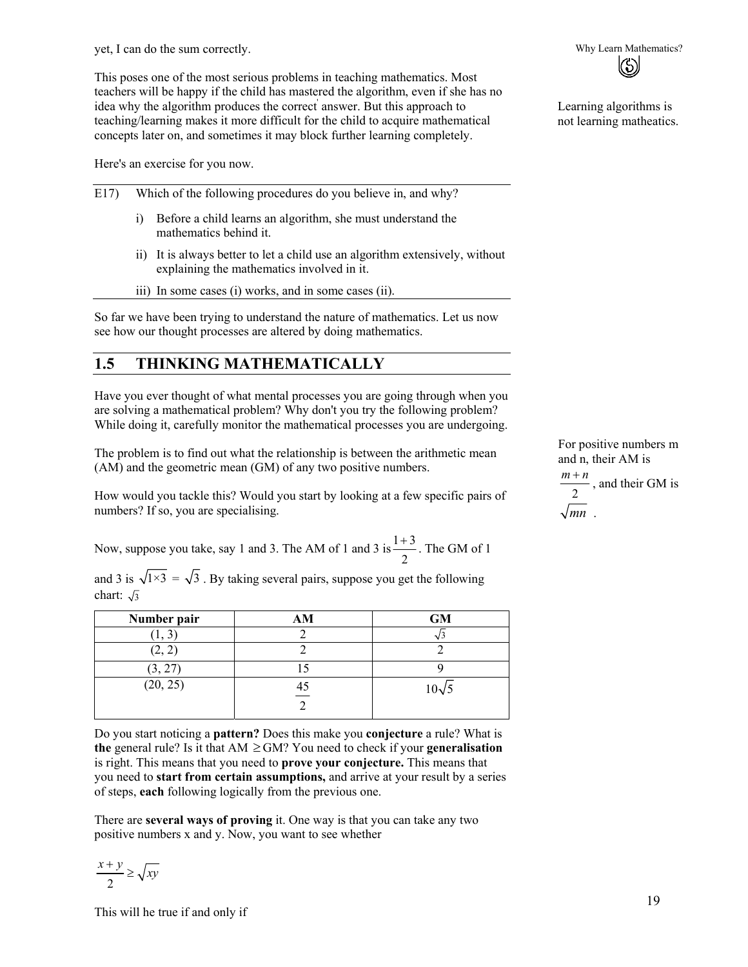yet, I can do the sum correctly. Why Learn Mathematics?

This poses one of the most serious problems in teaching mathematics. Most teachers will be happy if the child has mastered the algorithm, even if she has no idea why the algorithm produces the correct answer. But this approach to teaching/learning makes it more difficult for the child to acquire mathematical concepts later on, and sometimes it may block further learning completely.

Here's an exercise for you now.

| E17 | Which of the following procedures do you believe in, and why? |                                                                                                                        |  |
|-----|---------------------------------------------------------------|------------------------------------------------------------------------------------------------------------------------|--|
|     | 1)                                                            | Before a child learns an algorithm, she must understand the<br>mathematics behind it.                                  |  |
|     | 11)                                                           | It is always better to let a child use an algorithm extensively, without<br>explaining the mathematics involved in it. |  |
|     |                                                               | $\overrightarrow{ii}$ ) In some cases (i) works and in some cases (ii)                                                 |  |

iii) In some cases (i) works, and in some cases (ii).

So far we have been trying to understand the nature of mathematics. Let us now see how our thought processes are altered by doing mathematics.

# **1.5 THINKING MATHEMATICALLY**

Have you ever thought of what mental processes you are going through when you are solving a mathematical problem? Why don't you try the following problem? While doing it, carefully monitor the mathematical processes you are undergoing.

The problem is to find out what the relationship is between the arithmetic mean (AM) and the geometric mean (GM) of any two positive numbers.

How would you tackle this? Would you start by looking at a few specific pairs of numbers? If so, you are specialising.

Now, suppose you take, say 1 and 3. The AM of 1 and 3 is  $\frac{1+3}{2}$ 2  $+\frac{3}{2}$ . The GM of 1

and 3 is  $\sqrt{1\times3} = \sqrt{3}$ . By taking several pairs, suppose you get the following chart:  $\sqrt{3}$ 

| Number pair | AM | <b>GM</b>    |
|-------------|----|--------------|
|             |    |              |
| (2, 2)      |    |              |
| (3, 27)     |    |              |
| (20, 25)    | 40 | $10\sqrt{5}$ |

Do you start noticing a **pattern?** Does this make you **conjecture** a rule? What is **the** general rule? Is it that  $AM ≥ GM$ ? You need to check if your **generalisation** is right. This means that you need to **prove your conjecture.** This means that you need to **start from certain assumptions,** and arrive at your result by a series of steps, **each** following logically from the previous one.

There are **several ways of proving** it. One way is that you can take any two positive numbers x and y. Now, you want to see whether

$$
\frac{x+y}{2} \ge \sqrt{xy}
$$

This will he true if and only if



Learning algorithms is not learning matheatics.

For positive numbers m and n, their AM is

$$
\frac{m+n}{2}
$$
, and their GM is 
$$
\sqrt{mn}
$$
.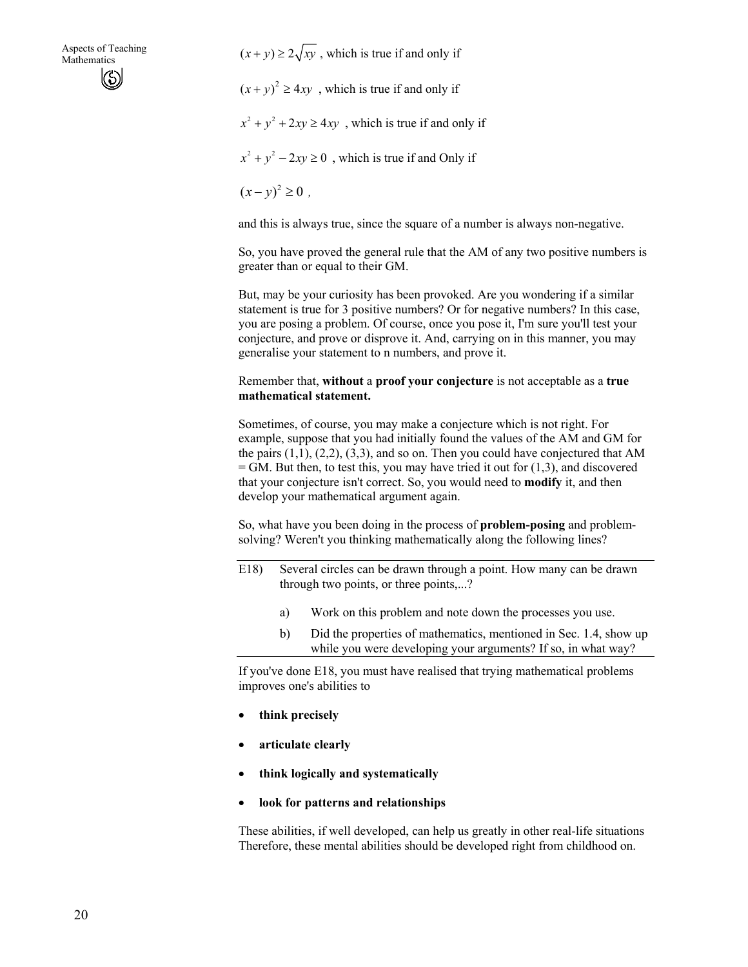$(x + y) \ge 2\sqrt{xy}$ , which is true if and only if  $(x + y)^2 \ge 4xy$ , which is true if and only if  $x^{2} + y^{2} + 2xy \ge 4xy$ , which is true if and only if  $x^{2} + y^{2} - 2xy \ge 0$ , which is true if and Only if  $(x - v)^2 \ge 0$ .

and this is always true, since the square of a number is always non-negative.

So, you have proved the general rule that the AM of any two positive numbers is greater than or equal to their GM.

But, may be your curiosity has been provoked. Are you wondering if a similar statement is true for 3 positive numbers? Or for negative numbers? In this case, you are posing a problem. Of course, once you pose it, I'm sure you'll test your conjecture, and prove or disprove it. And, carrying on in this manner, you may generalise your statement to n numbers, and prove it.

#### Remember that, **without** a **proof your conjecture** is not acceptable as a **true mathematical statement.**

Sometimes, of course, you may make a conjecture which is not right. For example, suppose that you had initially found the values of the AM and GM for the pairs  $(1,1)$ ,  $(2,2)$ ,  $(3,3)$ , and so on. Then you could have conjectured that AM  $=$  GM. But then, to test this, you may have tried it out for  $(1,3)$ , and discovered that your conjecture isn't correct. So, you would need to **modify** it, and then develop your mathematical argument again.

So, what have you been doing in the process of **problem-posing** and problemsolving? Weren't you thinking mathematically along the following lines?

- E18) Several circles can be drawn through a point. How many can be drawn through two points, or three points,...?
	- a) Work on this problem and note down the processes you use.
	- b) Did the properties of mathematics, mentioned in Sec. 1.4, show up while you were developing your arguments? If so, in what way?

If you've done E18, you must have realised that trying mathematical problems improves one's abilities to

- **think precisely**
- **articulate clearly**
- **think logically and systematically**
- **look for patterns and relationships**

These abilities, if well developed, can help us greatly in other real-life situations Therefore, these mental abilities should be developed right from childhood on.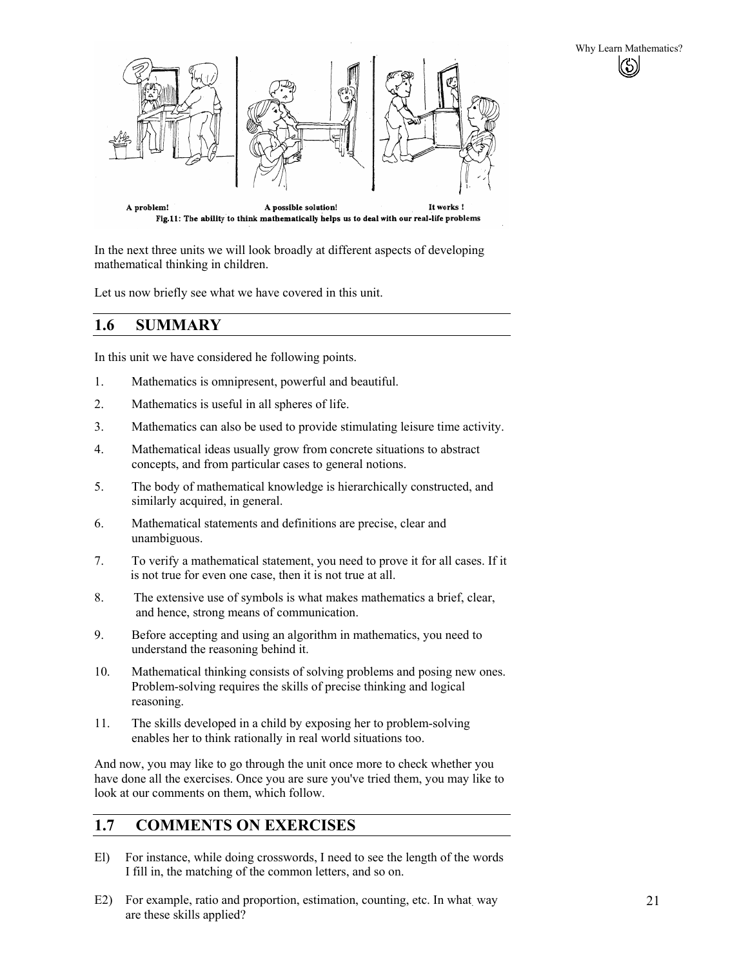

In the next three units we will look broadly at different aspects of developing mathematical thinking in children.

Let us now briefly see what we have covered in this unit.

# **1.6 SUMMARY**

In this unit we have considered he following points.

- 1. Mathematics is omnipresent, powerful and beautiful.
- 2. Mathematics is useful in all spheres of life.
- 3. Mathematics can also be used to provide stimulating leisure time activity.
- 4. Mathematical ideas usually grow from concrete situations to abstract concepts, and from particular cases to general notions.
- 5. The body of mathematical knowledge is hierarchically constructed, and similarly acquired, in general.
- 6. Mathematical statements and definitions are precise, clear and unambiguous.
- 7. To verify a mathematical statement, you need to prove it for all cases. If it is not true for even one case, then it is not true at all.
- 8. The extensive use of symbols is what makes mathematics a brief, clear, and hence, strong means of communication.
- 9. Before accepting and using an algorithm in mathematics, you need to understand the reasoning behind it.
- 10. Mathematical thinking consists of solving problems and posing new ones. Problem-solving requires the skills of precise thinking and logical reasoning.
- 11. The skills developed in a child by exposing her to problem-solving enables her to think rationally in real world situations too.

And now, you may like to go through the unit once more to check whether you have done all the exercises. Once you are sure you've tried them, you may like to look at our comments on them, which follow.

# **1.7 COMMENTS ON EXERCISES**

- El) For instance, while doing crosswords, I need to see the length of the words I fill in, the matching of the common letters, and so on.
- E2) For example, ratio and proportion, estimation, counting, etc. In what way are these skills applied?